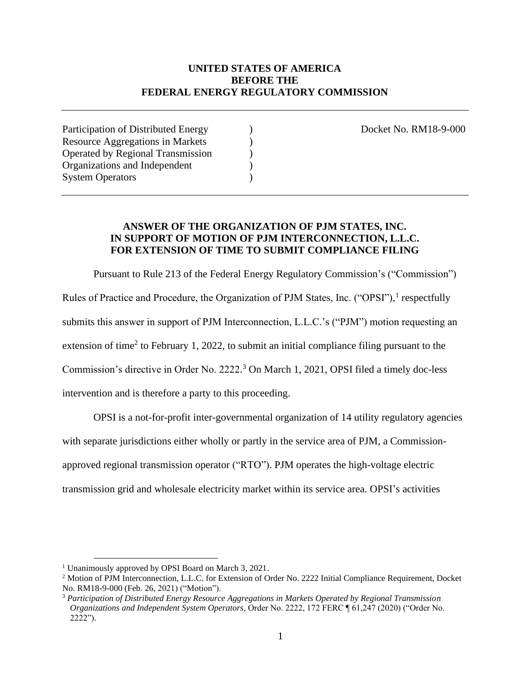## **UNITED STATES OF AMERICA BEFORE THE FEDERAL ENERGY REGULATORY COMMISSION**

Participation of Distributed Energy (and Contract No. RM18-9-000) and Docket No. RM18-9-000 Resource Aggregations in Markets ) Operated by Regional Transmission ) Organizations and Independent ) System Operators (a)

## **ANSWER OF THE ORGANIZATION OF PJM STATES, INC. IN SUPPORT OF MOTION OF PJM INTERCONNECTION, L.L.C. FOR EXTENSION OF TIME TO SUBMIT COMPLIANCE FILING**

Pursuant to Rule 213 of the Federal Energy Regulatory Commission's ("Commission") Rules of Practice and Procedure, the Organization of PJM States, Inc. ("OPSI"),<sup>1</sup> respectfully submits this answer in support of PJM Interconnection, L.L.C.'s ("PJM") motion requesting an extension of time<sup>2</sup> to February 1, 2022, to submit an initial compliance filing pursuant to the Commission's directive in Order No. 2222. <sup>3</sup> On March 1, 2021, OPSI filed a timely doc-less intervention and is therefore a party to this proceeding.

OPSI is a not-for-profit inter-governmental organization of 14 utility regulatory agencies with separate jurisdictions either wholly or partly in the service area of PJM, a Commissionapproved regional transmission operator ("RTO"). PJM operates the high-voltage electric transmission grid and wholesale electricity market within its service area. OPSI's activities

<sup>1</sup> Unanimously approved by OPSI Board on March 3, 2021.

<sup>2</sup> Motion of PJM Interconnection, L.L.C. for Extension of Order No. 2222 Initial Compliance Requirement, Docket No. RM18-9-000 (Feb. 26, 2021) ("Motion").

<sup>3</sup> *Participation of Distributed Energy Resource Aggregations in Markets Operated by Regional Transmission Organizations and Independent System Operators*, Order No. 2222, 172 FERC ¶ 61,247 (2020) ("Order No. 2222").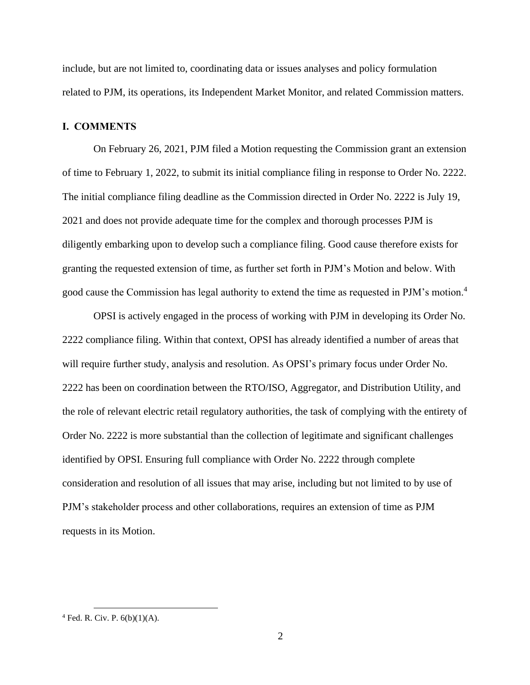include, but are not limited to, coordinating data or issues analyses and policy formulation related to PJM, its operations, its Independent Market Monitor, and related Commission matters.

#### **I. COMMENTS**

On February 26, 2021, PJM filed a Motion requesting the Commission grant an extension of time to February 1, 2022, to submit its initial compliance filing in response to Order No. 2222. The initial compliance filing deadline as the Commission directed in Order No. 2222 is July 19, 2021 and does not provide adequate time for the complex and thorough processes PJM is diligently embarking upon to develop such a compliance filing. Good cause therefore exists for granting the requested extension of time, as further set forth in PJM's Motion and below. With good cause the Commission has legal authority to extend the time as requested in PJM's motion.<sup>4</sup>

OPSI is actively engaged in the process of working with PJM in developing its Order No. 2222 compliance filing. Within that context, OPSI has already identified a number of areas that will require further study, analysis and resolution. As OPSI's primary focus under Order No. 2222 has been on coordination between the RTO/ISO, Aggregator, and Distribution Utility, and the role of relevant electric retail regulatory authorities, the task of complying with the entirety of Order No. 2222 is more substantial than the collection of legitimate and significant challenges identified by OPSI. Ensuring full compliance with Order No. 2222 through complete consideration and resolution of all issues that may arise, including but not limited to by use of PJM's stakeholder process and other collaborations, requires an extension of time as PJM requests in its Motion.

 $4$  Fed. R. Civ. P.  $6(b)(1)(A)$ .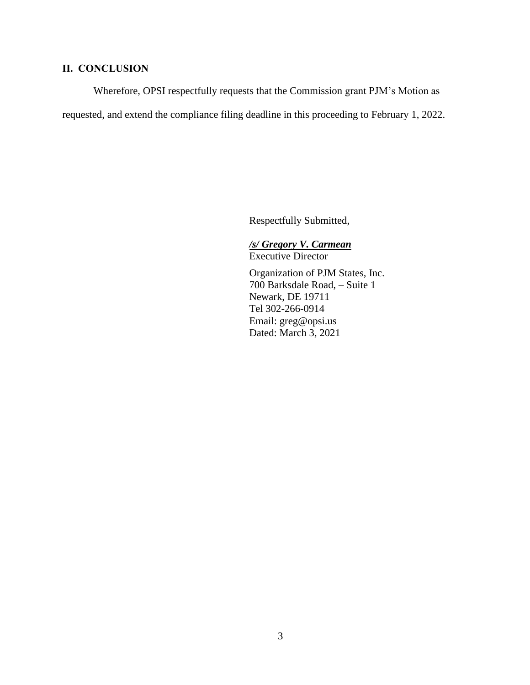# **II. CONCLUSION**

Wherefore, OPSI respectfully requests that the Commission grant PJM's Motion as requested, and extend the compliance filing deadline in this proceeding to February 1, 2022.

Respectfully Submitted,

*/s/ Gregory V. Carmean* Executive Director Organization of PJM States, Inc. 700 Barksdale Road, – Suite 1 Newark, DE 19711 Tel 302-266-0914 Email: greg@opsi.us Dated: March 3, 2021